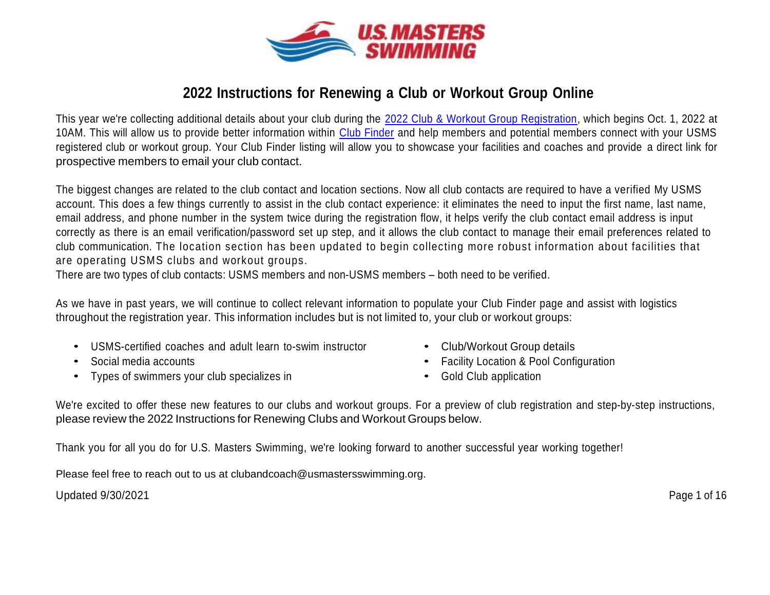

# **2022 Instructions for Renewing a Club or Workout Group Online**

This year we're collecting additional details about your club during the [2022 Club & Workout Group Registration,](https://www.usms.org/club-central/club-login) which begins Oct. 1, 2022 at 10AM. This will allow us to provide better information within [Club Finder](https://www.usms.org/clubs) and help members and potential members connect with your USMS registered club or workout group. Your Club Finder listing will allow you to showcase your facilities and coaches and provide a direct link for prospective members to email your club contact.

The biggest changes are related to the club contact and location sections. Now all club contacts are required to have a verified My USMS account. This does a few things currently to assist in the club contact experience: it eliminates the need to input the first name, last name, email address, and phone number in the system twice during the registration flow, it helps verify the club contact email address is input correctly as there is an email verification/password set up step, and it allows the club contact to manage their email preferences related to club communication. The location section has been updated to begin collecting more robust information about facilities that are operating USMS clubs and workout groups.

There are two types of club contacts: USMS members and non-USMS members – both need to be verified.

As we have in past years, we will continue to collect relevant information to populate your Club Finder page and assist with logistics throughout the registration year. This information includes but is not limited to, your club or workout groups:

- USMS-certified coaches and adult learn to-swim instructor
- Social media accounts
- Types of swimmers your club specializes in
- Club/Workout Group details
- Facility Location & Pool Configuration
- Gold Club application

We're excited to offer these new features to our clubs and workout groups. For a preview of club registration and step-by-step instructions, please review the 2022 Instructions for Renewing Clubs and Workout Groups below.

Thank you for all you do for U.S. Masters Swimming, we're looking forward to another successful year working together!

Please feel free to reach out to us at clubandcoach@usmastersswimming.org.

Updated 9/30/2021 Page 1 of 16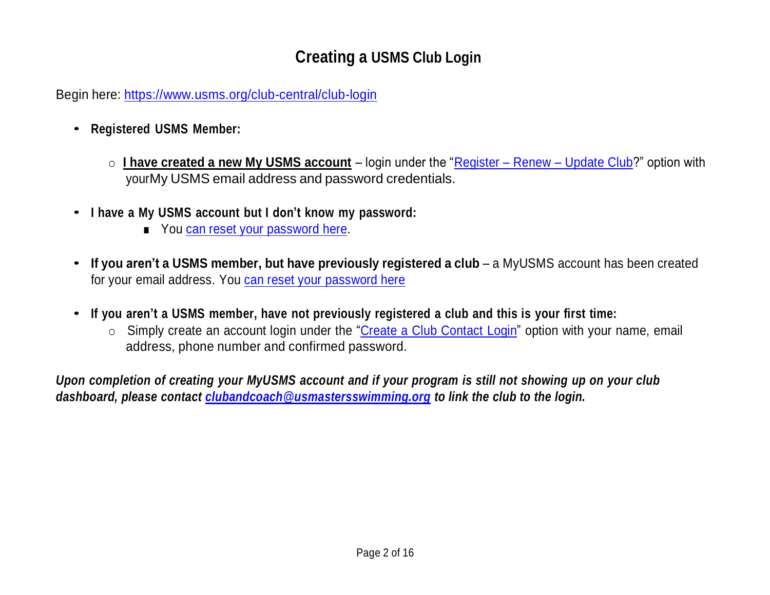# **Creating a USMS Club Login**

Begin here: https:/[/www.usms.org/club-central/club-login](http://www.usms.org/club-central/club-login)

- **Registered USMS Member:**
	- o **I have created a new My USMS account** login under the "Register Renew [Update Club?](https://www.usms.org/club-central/club-login)" option with yourMy USMS email address and password credentials.
- **<sup>I</sup> have <sup>a</sup> My USMS account but <sup>I</sup> don't know my password:**
	- You can reset your [password here.](https://www.usms.org/account/forgotpassword)
- **If you aren't <sup>a</sup> USMS member, but have previously registered <sup>a</sup> club** a MyUSMS account has been created for your email address. You can reset your [password here](https://www.usms.org/account/forgotpassword)
- **If you aren't <sup>a</sup> USMS member, have not previously registered <sup>a</sup> club and this is your first time:**
	- o Simply create an account login under the "Create a Club Contact Login" option with your name, email address, phone number and confirmed password.

Upon completion of creating your MyUSMS account and if your program is still not showing up on your club *dashboard, please contact [clubandcoach@usmastersswimming.org](mailto:clubandcoach@usmastersswimming.org) to link the club to the login.*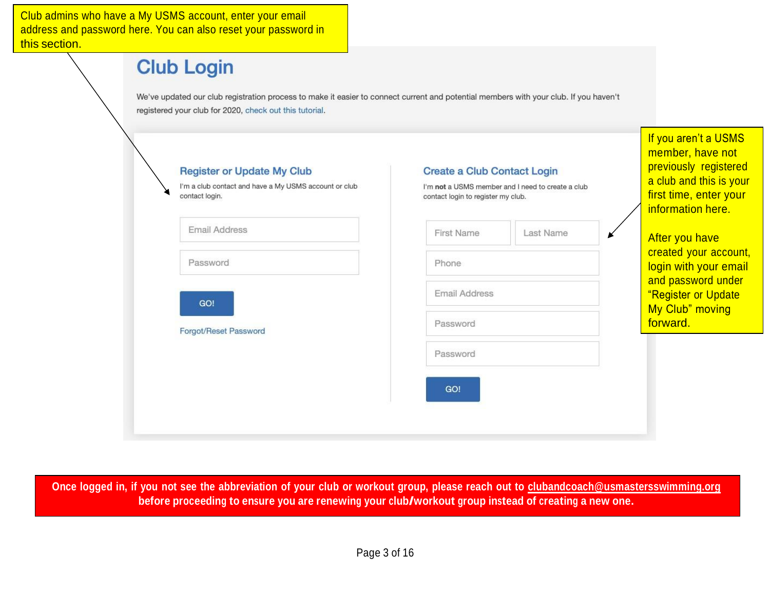Club admins who have a My USMS account, enter your email address this sec

| <b>Club Login</b>                                                                                                                                                                                |                                                                                                                               |           |                                                                                                                                             |
|--------------------------------------------------------------------------------------------------------------------------------------------------------------------------------------------------|-------------------------------------------------------------------------------------------------------------------------------|-----------|---------------------------------------------------------------------------------------------------------------------------------------------|
| We've updated our club registration process to make it easier to connect current and potential members with your club. If you haven't<br>registered your club for 2020, check out this tutorial. |                                                                                                                               |           |                                                                                                                                             |
| <b>Register or Update My Club</b><br>I'm a club contact and have a My USMS account or club<br>contact login.                                                                                     | <b>Create a Club Contact Login</b><br>I'm not a USMS member and I need to create a club<br>contact login to register my club. |           | If you aren't a USMS<br>member, have not<br>previously registered<br>a club and this is your<br>first time, enter your<br>information here. |
| <b>Email Address</b>                                                                                                                                                                             | <b>First Name</b>                                                                                                             | Last Name | After you have                                                                                                                              |
| Password                                                                                                                                                                                         | Phone                                                                                                                         |           | created your account,<br>login with your email                                                                                              |
| GO!                                                                                                                                                                                              | <b>Email Address</b>                                                                                                          |           | and password under<br>"Register or Update                                                                                                   |
| Forgot/Reset Password                                                                                                                                                                            | Password                                                                                                                      |           | My Club" moving<br>forward.                                                                                                                 |
|                                                                                                                                                                                                  | Password                                                                                                                      |           |                                                                                                                                             |
|                                                                                                                                                                                                  | GO!                                                                                                                           |           |                                                                                                                                             |
|                                                                                                                                                                                                  |                                                                                                                               |           |                                                                                                                                             |

Once logged in, if you not see the abbreviation of your club or workout group, please reach out to [clubandcoach@usmastersswimming.org](mailto:clubandcoach@usmastersswimming.org) **before proceeding to ensure you are renewing your club/workout group instead of creating <sup>a</sup> new one.**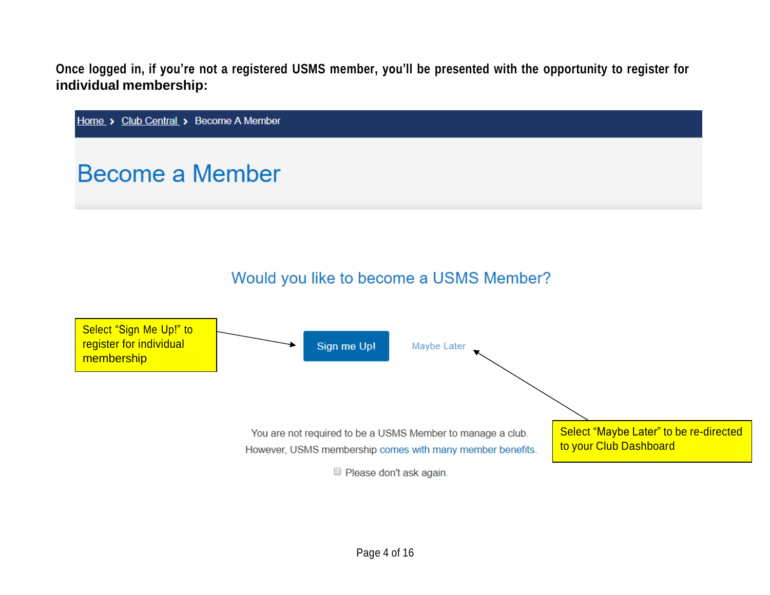Once logged in, if you're not a registered USMS member, you'll be presented with the opportunity to register for **individual membership:**

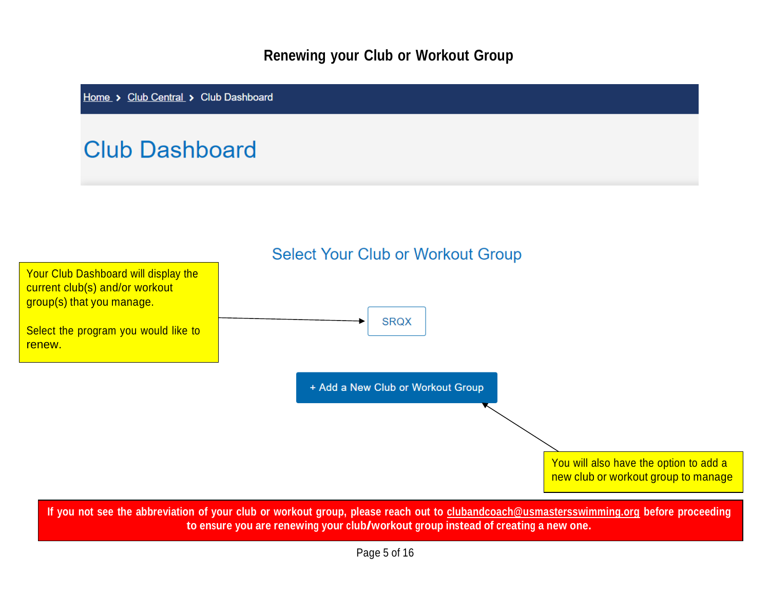# **Renewing your Club or Workout Group**

Home > Club Central > Club Dashboard

# **Club Dashboard**

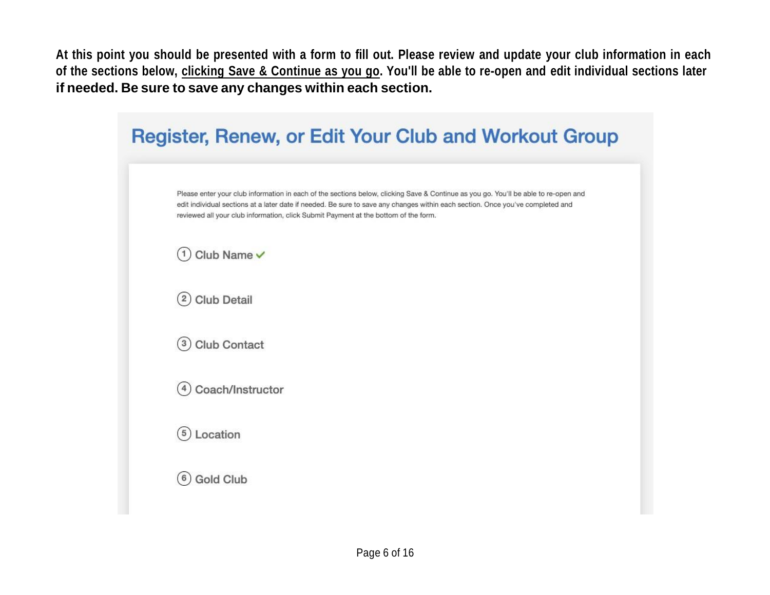At this point you should be presented with a form to fill out. Please review and update your club information in each of the sections below, clicking Save & Continue as you go. You'll be able to re-open and edit individual sections later **if needed. Be sure to save any changes within each section.**

| <b>Register, Renew, or Edit Your Club and Workout Group</b>                                                                                                                                                                                                                                                                                                  |
|--------------------------------------------------------------------------------------------------------------------------------------------------------------------------------------------------------------------------------------------------------------------------------------------------------------------------------------------------------------|
| Please enter your club information in each of the sections below, clicking Save & Continue as you go. You'll be able to re-open and<br>edit individual sections at a later date if needed. Be sure to save any changes within each section. Once you've completed and<br>reviewed all your club information, click Submit Payment at the bottom of the form. |
| $(1)$ Club Name $\checkmark$                                                                                                                                                                                                                                                                                                                                 |
| (2) Club Detail                                                                                                                                                                                                                                                                                                                                              |
| $(3)$ Club Contact                                                                                                                                                                                                                                                                                                                                           |
| Coach/Instructor<br>4                                                                                                                                                                                                                                                                                                                                        |
| $(5)$ Location                                                                                                                                                                                                                                                                                                                                               |
| <b>Gold Club</b><br>6                                                                                                                                                                                                                                                                                                                                        |
|                                                                                                                                                                                                                                                                                                                                                              |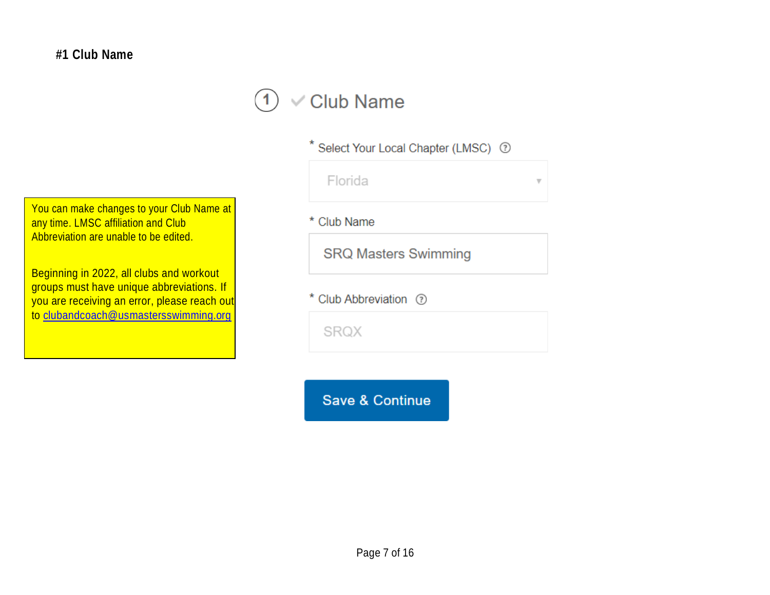### $\vee$  Club Name  $\left( 1\right)$

\* Select Your Local Chapter (LMSC) 7

| Florida |  | $\boldsymbol{\triangledown}$ |
|---------|--|------------------------------|
|         |  |                              |

You can make changes to your Club Name at any time. LMSC affiliation and Club Abbreviation are unable to be edited.

Beginning in 2022, all clubs and workout groups must have unique abbreviations. If you are receiving an error, please reach out to [clubandcoach@usmastersswimming.org](mailto:clubandcoach@usmastersswimming.org)

\* Club Name

**SRQ Masters Swimming** 

\* Club Abbreviation 7

SRQX

**Save & Continue**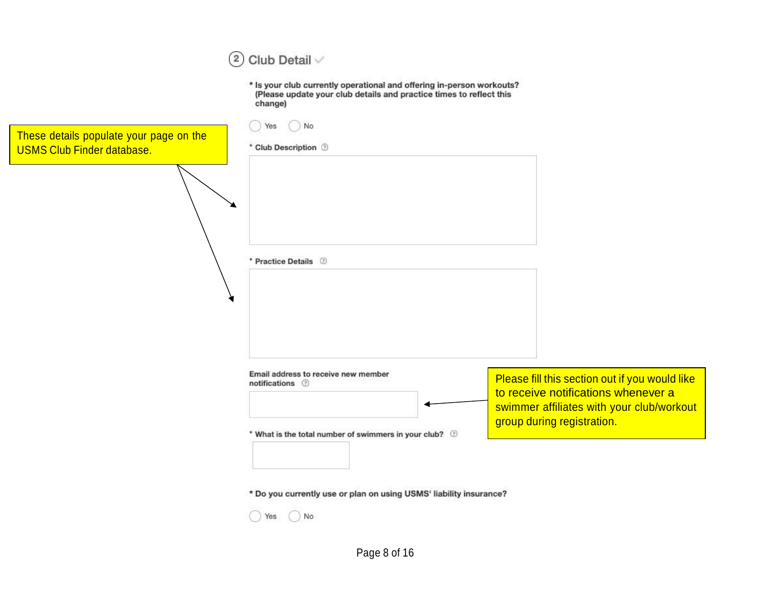# $(2)$  Club Detail  $\vee$

\* Is your club currently operational and offering in-person workouts?<br>(Please update your club details and practice times to reflect this change)

| Yes | No. |
|-----|-----|
|     |     |

|  | * Club Description |  |
|--|--------------------|--|
|  |                    |  |

These details populate your page on the USMS Club Finder database.

| * Practice Details 2                                     |                                                |
|----------------------------------------------------------|------------------------------------------------|
|                                                          |                                                |
|                                                          |                                                |
|                                                          |                                                |
|                                                          |                                                |
|                                                          |                                                |
|                                                          |                                                |
|                                                          |                                                |
| Email address to receive new member<br>notifications (?) | Please fill this section out if you would like |
|                                                          | to receive notifications whenever a            |
|                                                          | swimmer affiliates with your club/workout      |
| * What is the total number of swimmers in your club? 2   | group during registration.                     |
|                                                          |                                                |
|                                                          |                                                |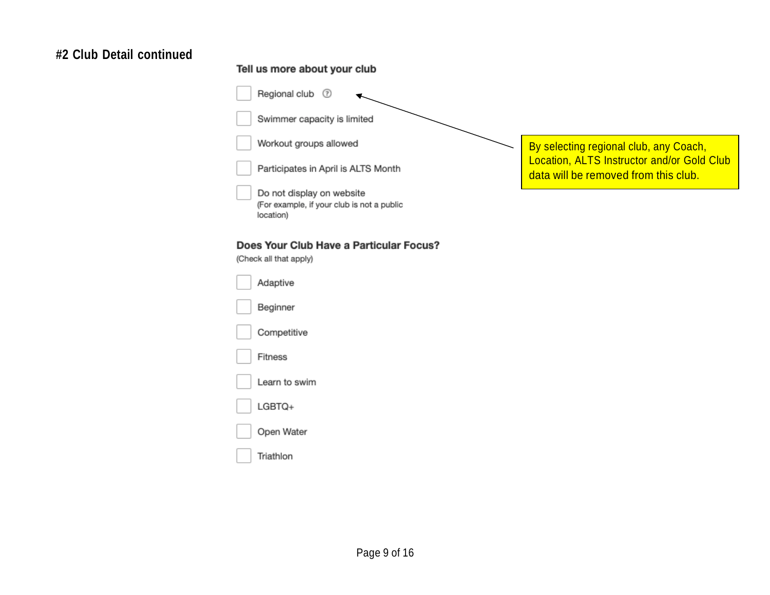# **#2 Club Detail continued**

### Tell us more about your club

|  | Regional club<br>⊙                                                                   |                                                                                    |
|--|--------------------------------------------------------------------------------------|------------------------------------------------------------------------------------|
|  | Swimmer capacity is limited                                                          |                                                                                    |
|  | Workout groups allowed                                                               | By selecting regional club, any Coach,                                             |
|  | Participates in April is ALTS Month                                                  | Location, ALTS Instructor and/or Gold Club<br>data will be removed from this club. |
|  | Do not display on website<br>(For example, if your club is not a public<br>location) |                                                                                    |
|  | Does Your Club Have a Particular Focus?<br>(Check all that apply)                    |                                                                                    |
|  | Adaptive                                                                             |                                                                                    |
|  | Beginner                                                                             |                                                                                    |
|  | Competitive                                                                          |                                                                                    |
|  | Fitness                                                                              |                                                                                    |
|  | Learn to swim                                                                        |                                                                                    |
|  | LGBTQ+                                                                               |                                                                                    |
|  | Open Water                                                                           |                                                                                    |
|  | Triathlon                                                                            |                                                                                    |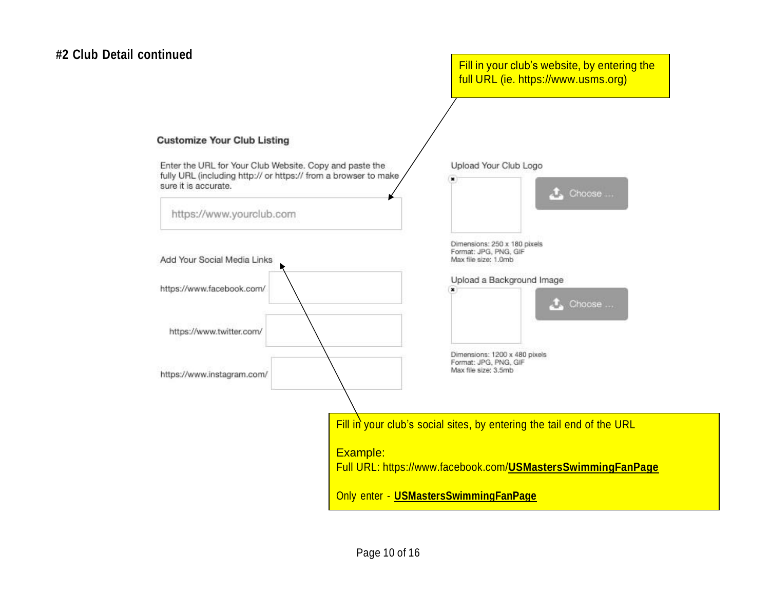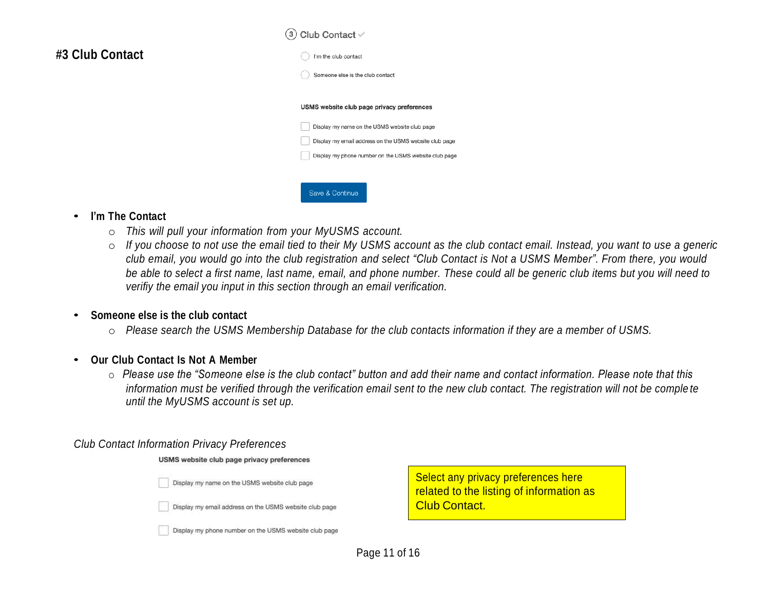# **#3 Club Contact**

#### $(3)$  Club Contact  $\vee$



Save & Continue

#### USMS website club page privacy preferences



#### • **I'm The Contact**

- o *This will pull your information from your MyUSMS account.*
- o If you choose to not use the email tied to their My USMS account as the club contact email. Instead, you want to use a generic club email, you would go into the club registration and select "Club Contact is Not a USMS Member". From there, you would be able to select a first name, last name, email, and phone number. These could all be generic club items but you will need to *verifiy the email you input in this section through an email verification.*

#### • **Someone else is the club contact**

o *Please search the USMS Membership Database for the club contacts information if they are a member of USMS.*

#### • **Our Club Contact Is Not <sup>A</sup> Member**

o *Please use the "Someone else is the club contact" button and add their name and contact information. Please note that this information must be verified through the verification email sent to the new club contact. The registration will not be comple te until the MyUSMS account is set up.* 

#### *Club Contact Information Privacy Preferences*

USMS website club page privacy preferences

Display my name on the USMS website club page

Display my email address on the USMS website club page

Display my phone number on the USMS website club page

Select any privacy preferences here related to the listing of information as Club Contact.

Page 11 of 16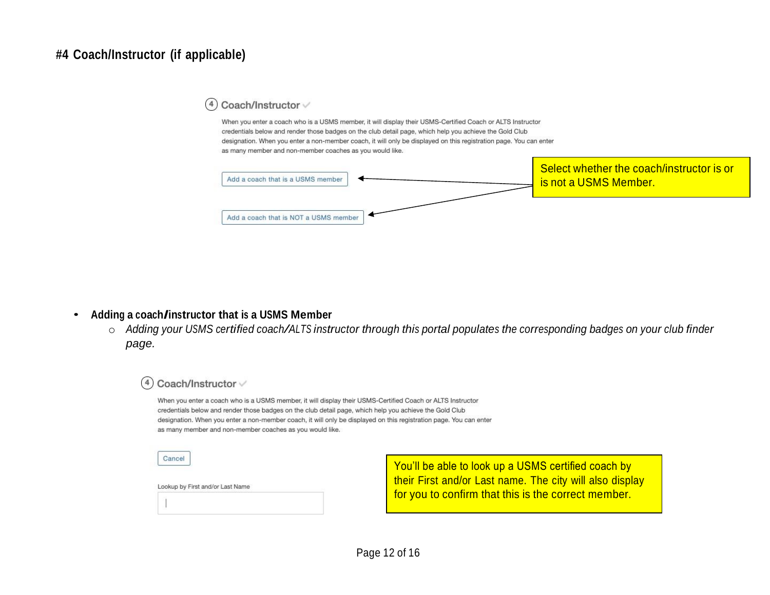# **#4 Coach/Instructor (if applicable)**

#### Coach/Instructor V  $(4)$

When you enter a coach who is a USMS member, it will display their USMS-Certified Coach or ALTS Instructor credentials below and render those badges on the club detail page, which help you achieve the Gold Club designation. When you enter a non-member coach, it will only be displayed on this registration page. You can enter as many member and non-member coaches as you would like.



### • **Adding <sup>a</sup> coach/instructor that is <sup>a</sup> USMS Member**

o Adding your USMS certified coach/ALTS instructor through this portal populates the corresponding badges on your club finder *page.*



You'll be able to look up a USMS certified coach by their First and/or Last name. The city will also display for you to confirm that this is the correct member.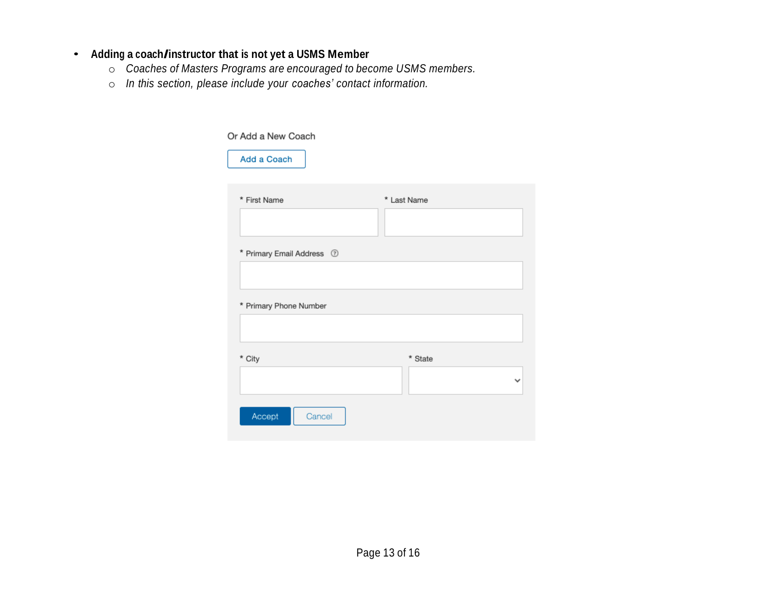### • **Adding <sup>a</sup> coach/instructor that is not yet <sup>a</sup> USMS Member**

- o *Coaches of Masters Programs are encouraged to become USMS members.*
- o *In this section, please include your coaches' contact information.*

| Or Add a New Coach        |              |  |  |
|---------------------------|--------------|--|--|
| Add a Coach               |              |  |  |
| * First Name              | * Last Name  |  |  |
|                           |              |  |  |
| * Primary Email Address 7 |              |  |  |
| * Primary Phone Number    |              |  |  |
|                           |              |  |  |
| * City                    | * State      |  |  |
|                           | $\checkmark$ |  |  |
| Accept<br>Cancel          |              |  |  |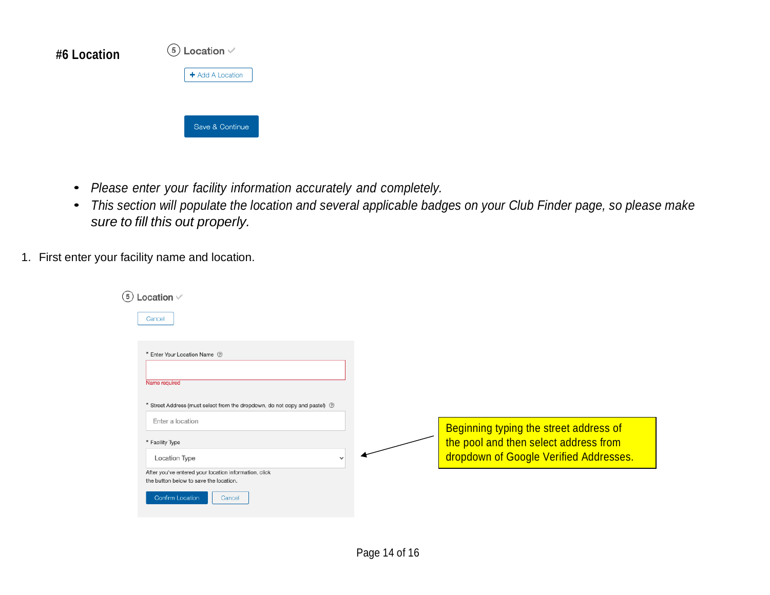| #6 Location | $(5)$ Location $\vee$ |  |  |
|-------------|-----------------------|--|--|
|             | + Add A Location      |  |  |
|             |                       |  |  |
|             | Save & Continue       |  |  |
|             |                       |  |  |

- *Please enter your facility information accurately and completely.*
- *This section will populate the location and several applicable badges on your Club Finder page, so please make sure to fill this out properly.*
- 1. First enter your facility name and location.

| Location $\vee$                                                                                 |                                        |
|-------------------------------------------------------------------------------------------------|----------------------------------------|
| Cancel                                                                                          |                                        |
|                                                                                                 |                                        |
| * Enter Your Location Name 7                                                                    |                                        |
|                                                                                                 |                                        |
| Name required                                                                                   |                                        |
| * Street Address (must select from the dropdown, do not copy and pastel) 2                      |                                        |
| Enter a location                                                                                |                                        |
|                                                                                                 | Beginning typing the street address of |
| * Facility Type                                                                                 | the pool and then select address from  |
| Location Type<br>$\checkmark$                                                                   | dropdown of Google Verified Addresses. |
| After you've entered your location information, click<br>the button below to save the location. |                                        |
|                                                                                                 |                                        |
| Confirm Location<br>Cancel                                                                      |                                        |
|                                                                                                 |                                        |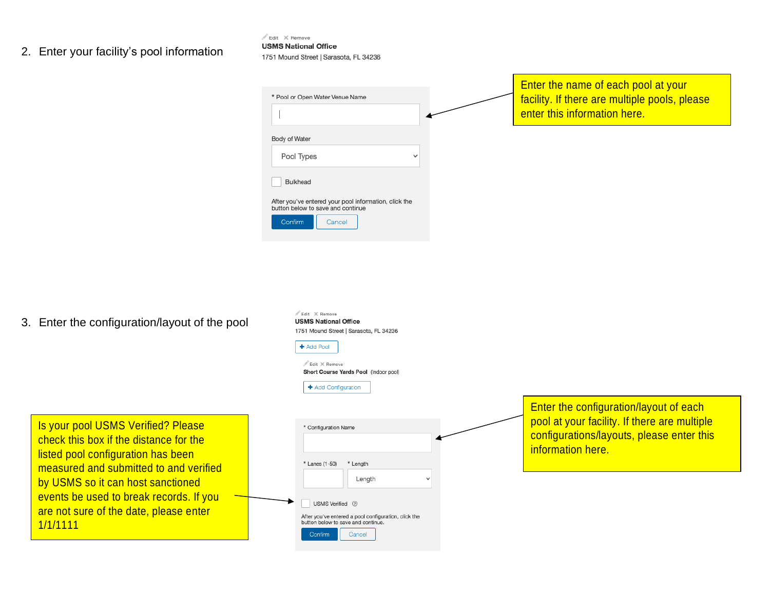### 2. Enter your facility's pool information

 $\mathbb{Z}$  Edit  $\ X$  Remove **USMS National Office** 

1751 Mound Street | Sarasota, FL 34236

 $\angle$  Edit  $\times$  Remove **USMS National Office** 

1751 Mound Street | Sarasota, FL 34236

| * Pool or Open Water Venue Name                                                            | Enter the name of each pool at your<br>facility. If there are multiple pools, please<br>enter this information here. |
|--------------------------------------------------------------------------------------------|----------------------------------------------------------------------------------------------------------------------|
| Body of Water                                                                              |                                                                                                                      |
| Pool Types<br>$\checkmark$                                                                 |                                                                                                                      |
| Bulkhead                                                                                   |                                                                                                                      |
| After you've entered your pool information, click the<br>button below to save and continue |                                                                                                                      |
| Confirm<br>Cancel                                                                          |                                                                                                                      |

3. Enter the configuration/layout of the pool

|                                                                                                                                                                                                                                                                                                    | + Add Pool<br>$\mathbb{Z}$ Edit $\mathbb{X}$ Remove<br>Short Course Yards Pool (Indoor pool)<br>+ Add Configuration                                                                                |                                                                                                                                                                 |
|----------------------------------------------------------------------------------------------------------------------------------------------------------------------------------------------------------------------------------------------------------------------------------------------------|----------------------------------------------------------------------------------------------------------------------------------------------------------------------------------------------------|-----------------------------------------------------------------------------------------------------------------------------------------------------------------|
| Is your pool USMS Verified? Please<br>check this box if the distance for the<br>listed pool configuration has been<br>measured and submitted to and verified<br>by USMS so it can host sanctioned<br>events be used to break records. If you<br>are not sure of the date, please enter<br>1/1/1111 | * Configuration Name<br>* Lanes (1-50)<br>* Length<br>Length<br>USMS Verified 7<br>After you've entered a pool configuration, click the<br>button below to save and continue.<br>Confirm<br>Cancel | <b>Enter the configuration/layout of each</b><br>pool at your facility. If there are multiple<br>configurations/layouts, please enter this<br>information here. |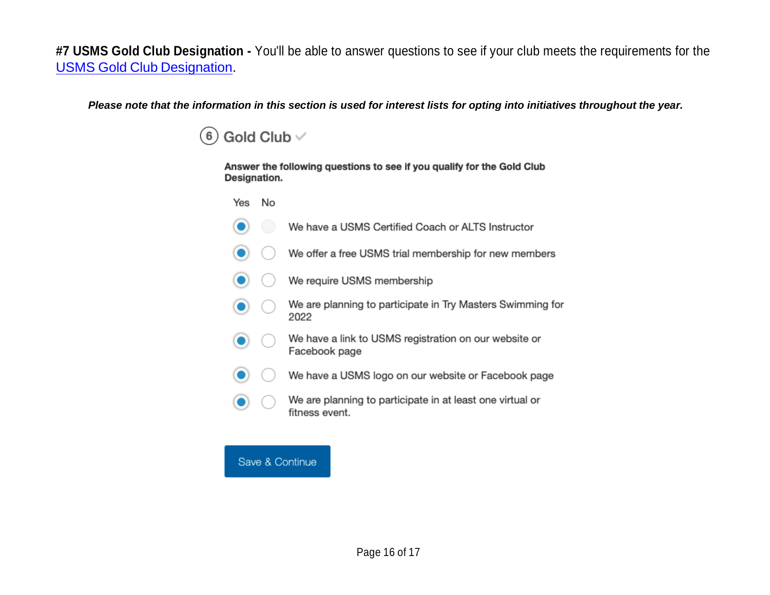**#7 USMS Gold Club Designation -** You'll be able to answer questions to see if your club meets the requirements for the USMS Gold Club Designation.

*Please note that the information in this section is used for interest lists for opting into initiatives throughout the year.* 

Gold Club  $\vee$  $(6)$ 

> Answer the following questions to see if you qualify for the Gold Club Designation.

Yes No

 $\bullet$ 

 $\bullet$ 

 $\bullet$ 

- We have a USMS Certified Coach or ALTS Instructor
- We offer a free USMS trial membership for new members
- We require USMS membership  $\bullet$
- We are planning to participate in Try Masters Swimming for  $\bullet$  $($ 2022
- We have a link to USMS registration on our website or  $\bullet$ Facebook page
- We have a USMS logo on our website or Facebook page  $\bullet$ 
	- We are planning to participate in at least one virtual or fitness event.

Save & Continue